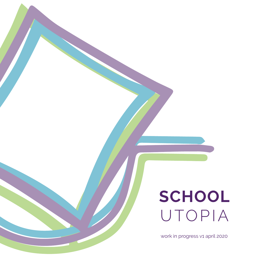## **SCHOOL** UTOPIA

work in progress v1 april 2020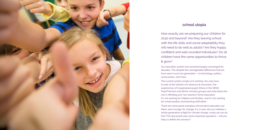

#### **school utopia**

How exactly are we preparing our children for 2030 and beyond? Are they leaving school with the life skills and social adaptability they will need to do well as adults? Are they happy, confident and well-rounded individuals? Do all children have the same opportunities to thrive & grow?

Our education system has remained largely unchanged for decades. This despite the unimaginable differences that we have seen in just one generation – in technology, politics, social justice, and more.

The current system simply isn't working. You only have to look at the statistics for absence & exclusions, the experiences of marginalised pupils (those in the SEND, Pupil Premium and ethnic minority groups) and read about the rise in offrolling and 'non-elective' home education. It's not working for children and families, and it's not working for school leaders and teaching staff either.

There are some great examples of innovative education out there, and a hunger for change. If a 17 year old can mobilise a whole generation to fight for climate change, surely we can do this? This document asks some important questions – will you help us define the answers?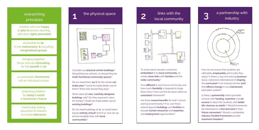### overarching principles

children who are **happy** & **able to** access learning, with their **rights promoted**

accessible to **all**, in the **mainstream, &** including **marginalised groups**

bringing together those who are **innovating** , for the **benefit** of **all**

a sustainable **framework,** not an individual school

> preparing children for **today's world** & **tomorrow's future**

inextricably linking education & industry to create **relevance**





Consider our **physical school buildings**? Should they be schools, or should they be **multi-functional community spaces**?

Do we need them **24/7** for the whole **cal endar year**? Could we make better use of them? What role should they play?

What value do **new, carefully designed buildings** add? Do they represent value for money? Could we make better use of **existing buildings?**

Do we need buildings at all, or could learn ing be **entirely virtual?** And if so, how do we ensure tangible links with **local communities** ?

### links with the **2** local community



To what extent should a school be **embedded** in its **local community**, to create **close links** with **families** and the **wider community** ?

How **different** is each local community and how much **flexibility** is required to forge these links? How can this be done within an **consistent** framework?

Are there **mutual benefits** for both 'school;' and local community? If so, can these extend beyond **buildings** and **facilities** to include **human resources** and **expertise**, and **employment** opportunities?

# **3** a partnership with industry



How do we ensure that students are ultimately **employable** and in jobs they enjoy? Is there a way of involving **business** (local, national & international) in **shaping** the **curriculum**? Can industry be the **'pull'** that **effects change** in our **mainstream** education system?

Is there a **partnership** which provides schools with **funding**, **expertise** and **rel evance** in return for students with **better life-chances as adults** ? Would businesses be interested in a **free test-bed** of their **future consumers**? Would a completely **industry-funded framework** provide **maximum freedom** ?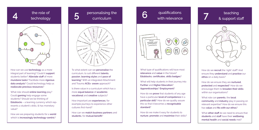



How can we use **technology** as a more integral part of learning? Could it **support** students better? **Alleviate staff** of more **mundane tasks**? Facilitate more **rigorous data analysis**? Could technology help us **reallocate precious resources**?

What role should **online learning** play? Could **gaming** help engage some students? Should we be thinking of **Edublocks** – a learning currency which represents a student's skills, & has monetary value?

How are we preparing students for a **world** which is **increasingly technology-centric**?



To what extent can we **personalise** the curriculum, to suit different **talents**, **passion**, **learning styles** and **pace of learning**? With an integrated Attachment and Trauma **ACEs- aware** approach?

Is there value in a curriculum which has a more **equal balance** of **academic**, **vocational** and **creative** subjects?

How important are **experiences**, for example journeys to experience other cultures first-hand?

How can we **match business partners** and **students**, for **mutual benefit**?

qualifications **6** with relevance



What type of qualifications will have most **relevance** and **value** in the future? **Edublocks**, **certificates**, **skills badges**?

What will help students in their journey into **Further** and **Higher Education**? **Apprenticeships**? **Employment**?

How do we **prove** that students of any age have a particular **level of competence** in a **particular skill**? How do we quality assure this so that it becomes a **recognisable standard**?

How do we make it easy for students to **nurture**, **promote** and **maximise** their skills?

# teaching **7** & support staff



How do we **recruit** the 'right' staff? And ensure they **understand** and **practice** our **ethos** on a daily basis?

How do we ensure they are **nurtured**, **protected** and **respected**? How do we encourage them to **broaden their skills**  within our organisations?

What role can **parents**, the **local community** and **industry** play in passing on relevant expertise? How do we ensure this has **value** and **fits with our ethos**?

What **other staff** do we need to ensure that **students** and **staff** have their **wellbeing**, **mental health** and **social needs** met?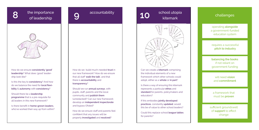**8** the importance<br>of leadership



How do we ensure **consistently 'good' leadership**? What does 'good' leadership look like?

Is this the key to **consistency**? And how do we balance the need for **local flexibility** & **autonomy** with **consistency**?

Should there be a **leadership programme** that is a pre-requisite for all leaders in this new framework?

Is there benefit in **home-grown leaders**, who've worked their way up from within?

How do we build much-needed **trust** in our new framework? How do we ensure that all staff '**walk the talk**', and that there is **accountability** and **transparency**?

accountability **9**

Should we run **annual surveys**, with pupils, staff, parents and the local community and **publish them** (unredacted)? Can our new framework develop an **independent inspectorate** and bypass Ofsted?

How do we ensure staff and parents feel confident that any issues will be properly **investigated** and **resolved**?

# 10 school utopia



Can we create a **kitemark** comprising the individual elements of a new framework which other schools could adopt, either as a **whole** or **in part**?

Is there a way of ensuring this kitemark represents a particular **ethos** and **standard** for parents, policymakers and educators?

If this embodies **jointly developed practices**, constantly **updated**, would this be of value to other school leaders?

Could this replace school **league tables** for parents?

#### challenges

operating **alongside**  a government-funded education system

requires a successful **pitch to industry**

**balancing the books**  if not reliant on government funding

will need **vision** and **commitment**

a framework that must be **proven**

sufficient groundswell of **support** to effect change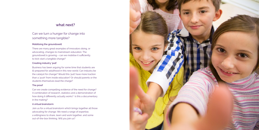#### **what next?**

#### Can we turn a hunger for change into something more tangible?

#### **Mobilising the groundswell**

There are many great examples of innovators doing, or advocating, changes to mainstream education. The groundswell is growing – can we mobilise it sufficiently to kick-start a tangible change?

#### **Creating industry 'pull'**

Business has been arguing for some time that students are ill-prepared for adulthood in this new world. Can industry be the catalyst for change? Would this 'pull' have more traction than a 'push' from inside education? Or should parents or the students themselves lead the charge?

#### **The proof**

Can we create compelling evidence of the need for change? A combination of research, statistics and a demonstration of how doing it differently actually works? Is this a documentary in the making?

#### **A virtual brainstorm**

Join us for a virtual brainstorm which brings together all those advocating for change. We need a range of expertise, a willingness to share, learn and work together, and some out-of-the-box thinking. Will you join us?